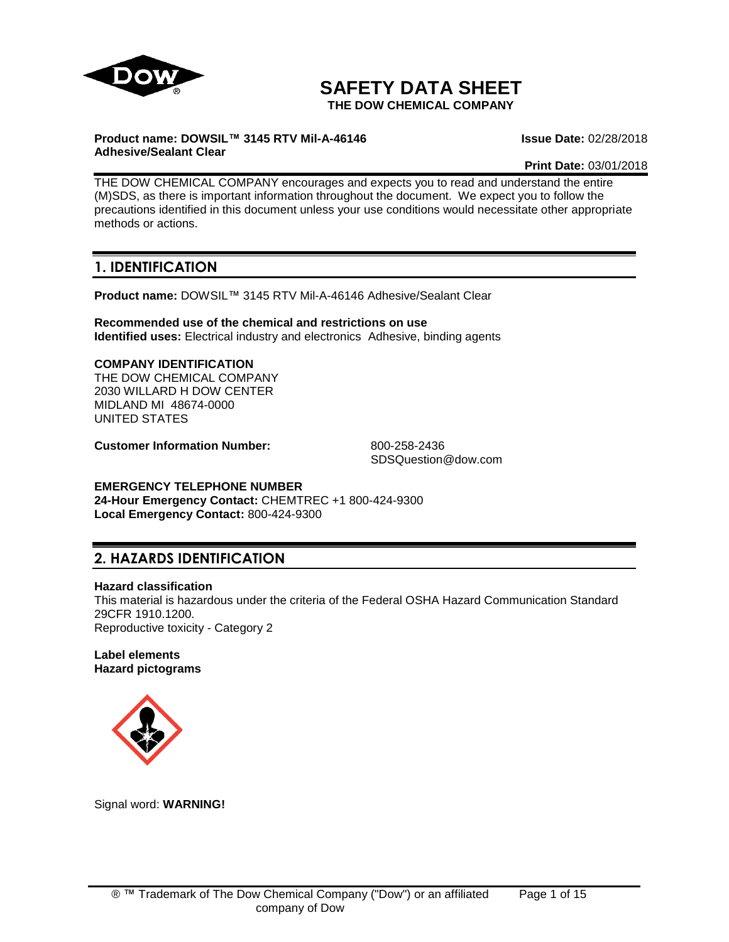

# **SAFETY DATA SHEET**

**THE DOW CHEMICAL COMPANY**

## **Product name: DOWSIL™ 3145 RTV Mil-A-46146 Adhesive/Sealant Clear**

**Issue Date:** 02/28/2018

**Print Date:** 03/01/2018

THE DOW CHEMICAL COMPANY encourages and expects you to read and understand the entire (M)SDS, as there is important information throughout the document. We expect you to follow the precautions identified in this document unless your use conditions would necessitate other appropriate methods or actions.

# **1. IDENTIFICATION**

**Product name:** DOWSIL™ 3145 RTV Mil-A-46146 Adhesive/Sealant Clear

**Recommended use of the chemical and restrictions on use Identified uses:** Electrical industry and electronics Adhesive, binding agents

#### **COMPANY IDENTIFICATION** THE DOW CHEMICAL COMPANY 2030 WILLARD H DOW CENTER MIDLAND MI 48674-0000 UNITED STATES

**Customer Information Number:** 800-258-2436

SDSQuestion@dow.com

## **EMERGENCY TELEPHONE NUMBER**

**24-Hour Emergency Contact:** CHEMTREC +1 800-424-9300 **Local Emergency Contact:** 800-424-9300

# **2. HAZARDS IDENTIFICATION**

## **Hazard classification**

This material is hazardous under the criteria of the Federal OSHA Hazard Communication Standard 29CFR 1910.1200. Reproductive toxicity - Category 2

## **Label elements Hazard pictograms**



Signal word: **WARNING!**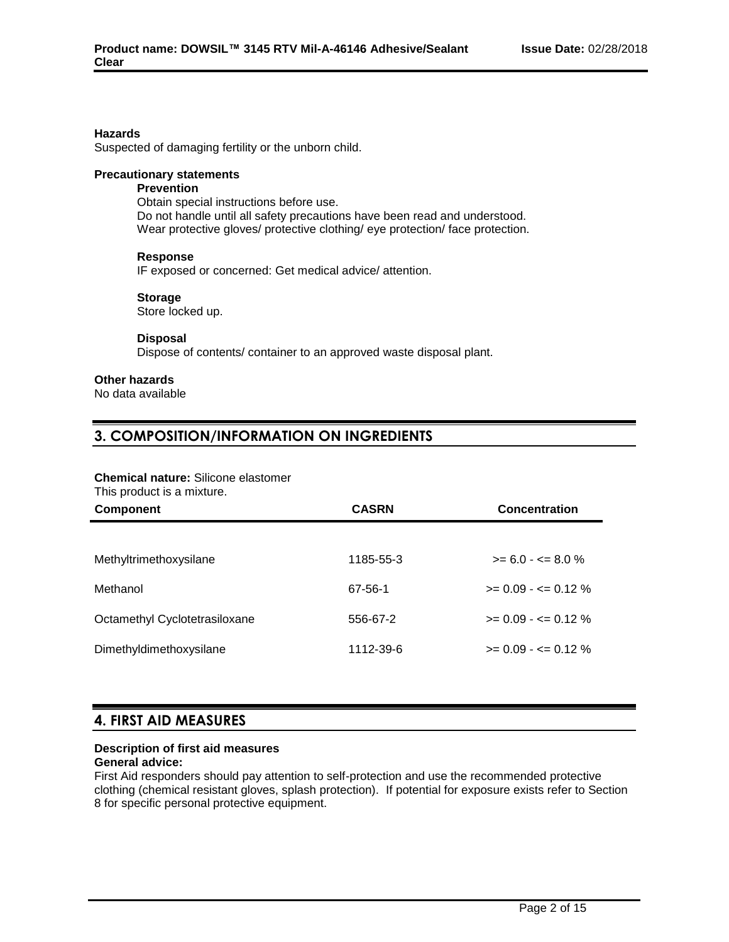## **Hazards**

Suspected of damaging fertility or the unborn child.

## **Precautionary statements**

## **Prevention**

Obtain special instructions before use. Do not handle until all safety precautions have been read and understood. Wear protective gloves/ protective clothing/ eye protection/ face protection.

#### **Response**

IF exposed or concerned: Get medical advice/ attention.

#### **Storage**

Store locked up.

### **Disposal**

Dispose of contents/ container to an approved waste disposal plant.

## **Other hazards**

No data available

## **3. COMPOSITION/INFORMATION ON INGREDIENTS**

## **Chemical nature:** Silicone elastomer

This product is a mixture.

| <b>Component</b>              | <b>CASRN</b> | Concentration           |  |
|-------------------------------|--------------|-------------------------|--|
|                               |              |                         |  |
| Methyltrimethoxysilane        | 1185-55-3    | $>= 6.0 - \le 8.0 \%$   |  |
| Methanol                      | 67-56-1      | $>= 0.09 - \le 0.12 \%$ |  |
| Octamethyl Cyclotetrasiloxane | 556-67-2     | $>= 0.09 - \le 0.12 \%$ |  |
| Dimethyldimethoxysilane       | 1112-39-6    | $>= 0.09 - \le 0.12 \%$ |  |

## **4. FIRST AID MEASURES**

## **Description of first aid measures**

**General advice:**

First Aid responders should pay attention to self-protection and use the recommended protective clothing (chemical resistant gloves, splash protection). If potential for exposure exists refer to Section 8 for specific personal protective equipment.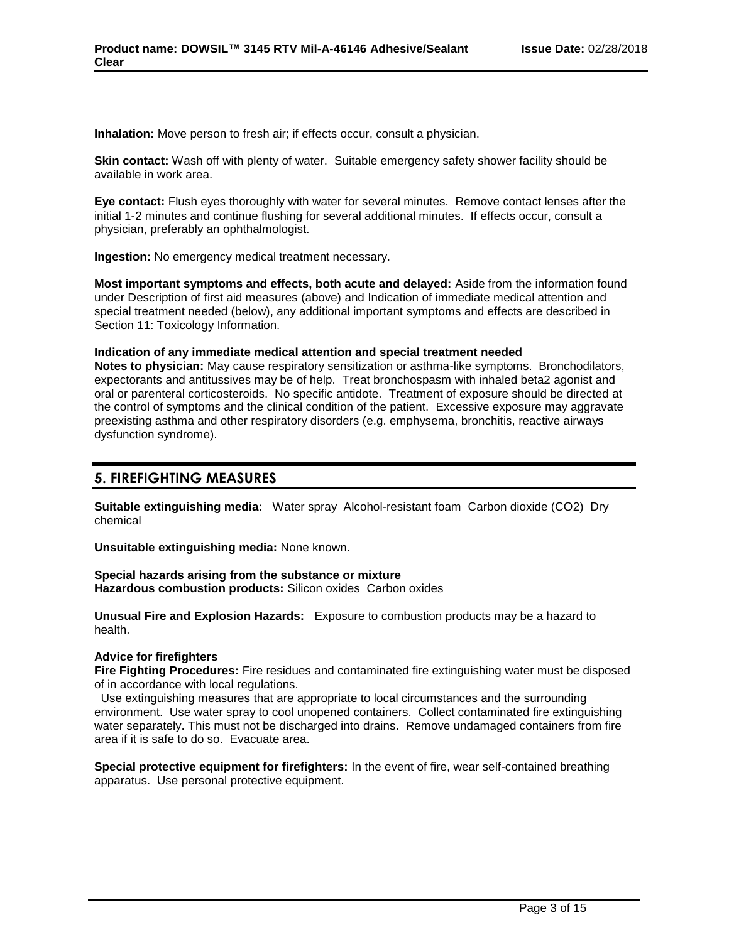**Inhalation:** Move person to fresh air; if effects occur, consult a physician.

**Skin contact:** Wash off with plenty of water. Suitable emergency safety shower facility should be available in work area.

**Eye contact:** Flush eyes thoroughly with water for several minutes. Remove contact lenses after the initial 1-2 minutes and continue flushing for several additional minutes. If effects occur, consult a physician, preferably an ophthalmologist.

**Ingestion:** No emergency medical treatment necessary.

**Most important symptoms and effects, both acute and delayed:** Aside from the information found under Description of first aid measures (above) and Indication of immediate medical attention and special treatment needed (below), any additional important symptoms and effects are described in Section 11: Toxicology Information.

#### **Indication of any immediate medical attention and special treatment needed**

**Notes to physician:** May cause respiratory sensitization or asthma-like symptoms. Bronchodilators, expectorants and antitussives may be of help. Treat bronchospasm with inhaled beta2 agonist and oral or parenteral corticosteroids. No specific antidote. Treatment of exposure should be directed at the control of symptoms and the clinical condition of the patient. Excessive exposure may aggravate preexisting asthma and other respiratory disorders (e.g. emphysema, bronchitis, reactive airways dysfunction syndrome).

## **5. FIREFIGHTING MEASURES**

**Suitable extinguishing media:** Water spray Alcohol-resistant foam Carbon dioxide (CO2) Dry chemical

**Unsuitable extinguishing media:** None known.

**Special hazards arising from the substance or mixture Hazardous combustion products:** Silicon oxides Carbon oxides

**Unusual Fire and Explosion Hazards:** Exposure to combustion products may be a hazard to health.

## **Advice for firefighters**

**Fire Fighting Procedures:** Fire residues and contaminated fire extinguishing water must be disposed of in accordance with local regulations.

 Use extinguishing measures that are appropriate to local circumstances and the surrounding environment. Use water spray to cool unopened containers. Collect contaminated fire extinguishing water separately. This must not be discharged into drains. Remove undamaged containers from fire area if it is safe to do so. Evacuate area.

**Special protective equipment for firefighters:** In the event of fire, wear self-contained breathing apparatus. Use personal protective equipment.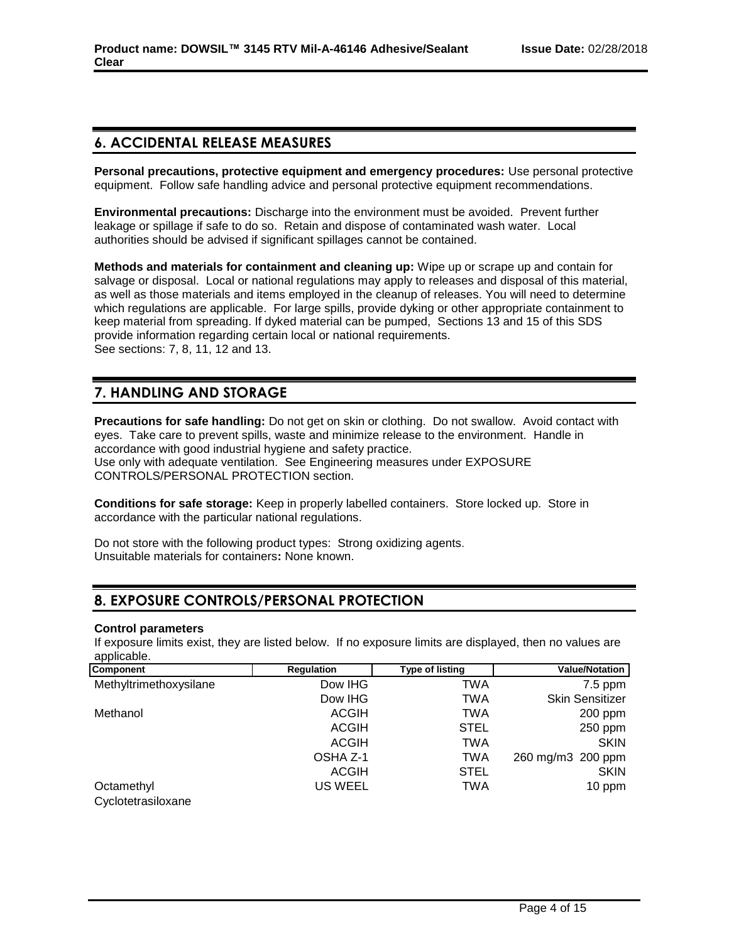# **6. ACCIDENTAL RELEASE MEASURES**

**Personal precautions, protective equipment and emergency procedures:** Use personal protective equipment. Follow safe handling advice and personal protective equipment recommendations.

**Environmental precautions:** Discharge into the environment must be avoided. Prevent further leakage or spillage if safe to do so. Retain and dispose of contaminated wash water. Local authorities should be advised if significant spillages cannot be contained.

**Methods and materials for containment and cleaning up:** Wipe up or scrape up and contain for salvage or disposal. Local or national regulations may apply to releases and disposal of this material, as well as those materials and items employed in the cleanup of releases. You will need to determine which regulations are applicable. For large spills, provide dyking or other appropriate containment to keep material from spreading. If dyked material can be pumped, Sections 13 and 15 of this SDS provide information regarding certain local or national requirements. See sections: 7, 8, 11, 12 and 13.

# **7. HANDLING AND STORAGE**

**Precautions for safe handling:** Do not get on skin or clothing. Do not swallow. Avoid contact with eyes. Take care to prevent spills, waste and minimize release to the environment. Handle in accordance with good industrial hygiene and safety practice. Use only with adequate ventilation. See Engineering measures under EXPOSURE CONTROLS/PERSONAL PROTECTION section.

**Conditions for safe storage:** Keep in properly labelled containers. Store locked up. Store in accordance with the particular national regulations.

Do not store with the following product types: Strong oxidizing agents. Unsuitable materials for containers**:** None known.

# **8. EXPOSURE CONTROLS/PERSONAL PROTECTION**

## **Control parameters**

If exposure limits exist, they are listed below. If no exposure limits are displayed, then no values are applicable.

| Component              | <b>Regulation</b> | <b>Type of listing</b> | <b>Value/Notation</b>  |
|------------------------|-------------------|------------------------|------------------------|
| Methyltrimethoxysilane | Dow IHG           | TWA                    | $7.5$ ppm              |
|                        | Dow IHG           | TWA                    | <b>Skin Sensitizer</b> |
| Methanol               | <b>ACGIH</b>      | TWA                    | $200$ ppm              |
|                        | <b>ACGIH</b>      | <b>STEL</b>            | 250 ppm                |
|                        | ACGIH             | TWA                    | <b>SKIN</b>            |
|                        | OSHA Z-1          | TWA                    | 260 mg/m3 200 ppm      |
|                        | <b>ACGIH</b>      | <b>STEL</b>            | <b>SKIN</b>            |
| Octamethyl             | US WEEL           | TWA                    | 10 ppm                 |
| Cyclotetrasiloxane     |                   |                        |                        |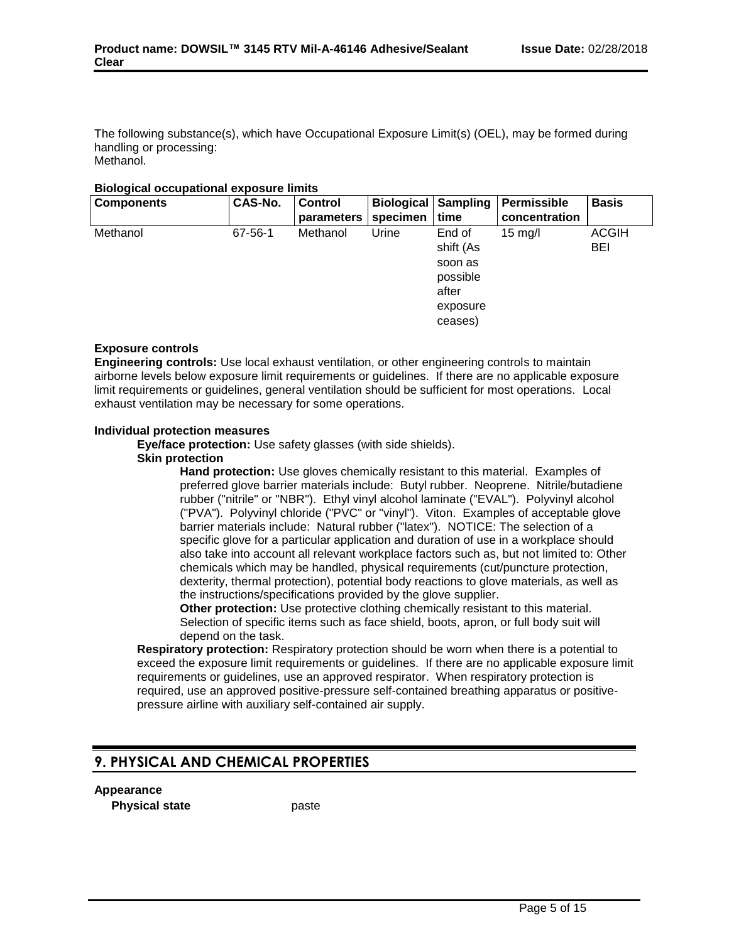The following substance(s), which have Occupational Exposure Limit(s) (OEL), may be formed during handling or processing: Methanol.

## **Biological occupational exposure limits**

| <b>Components</b> | CAS-No. | <b>Control</b> | <b>Biological Sampling</b> |           | Permissible       | <b>Basis</b> |
|-------------------|---------|----------------|----------------------------|-----------|-------------------|--------------|
|                   |         | parameters     | specimen                   | time      | concentration     |              |
| Methanol          | 67-56-1 | Methanol       | Urine                      | End of    | $15 \text{ mg/l}$ | <b>ACGIH</b> |
|                   |         |                |                            | shift (As |                   | <b>BEI</b>   |
|                   |         |                |                            | soon as   |                   |              |
|                   |         |                |                            | possible  |                   |              |
|                   |         |                |                            | after     |                   |              |
|                   |         |                |                            | exposure  |                   |              |
|                   |         |                |                            | ceases)   |                   |              |

#### **Exposure controls**

**Engineering controls:** Use local exhaust ventilation, or other engineering controls to maintain airborne levels below exposure limit requirements or guidelines. If there are no applicable exposure limit requirements or guidelines, general ventilation should be sufficient for most operations. Local exhaust ventilation may be necessary for some operations.

#### **Individual protection measures**

**Eye/face protection:** Use safety glasses (with side shields).

#### **Skin protection**

**Hand protection:** Use gloves chemically resistant to this material. Examples of preferred glove barrier materials include: Butyl rubber. Neoprene. Nitrile/butadiene rubber ("nitrile" or "NBR"). Ethyl vinyl alcohol laminate ("EVAL"). Polyvinyl alcohol ("PVA"). Polyvinyl chloride ("PVC" or "vinyl"). Viton. Examples of acceptable glove barrier materials include: Natural rubber ("latex"). NOTICE: The selection of a specific glove for a particular application and duration of use in a workplace should also take into account all relevant workplace factors such as, but not limited to: Other chemicals which may be handled, physical requirements (cut/puncture protection, dexterity, thermal protection), potential body reactions to glove materials, as well as the instructions/specifications provided by the glove supplier.

**Other protection:** Use protective clothing chemically resistant to this material. Selection of specific items such as face shield, boots, apron, or full body suit will depend on the task.

**Respiratory protection:** Respiratory protection should be worn when there is a potential to exceed the exposure limit requirements or guidelines. If there are no applicable exposure limit requirements or guidelines, use an approved respirator. When respiratory protection is required, use an approved positive-pressure self-contained breathing apparatus or positivepressure airline with auxiliary self-contained air supply.

## **9. PHYSICAL AND CHEMICAL PROPERTIES**

#### **Appearance**

**Physical state** paste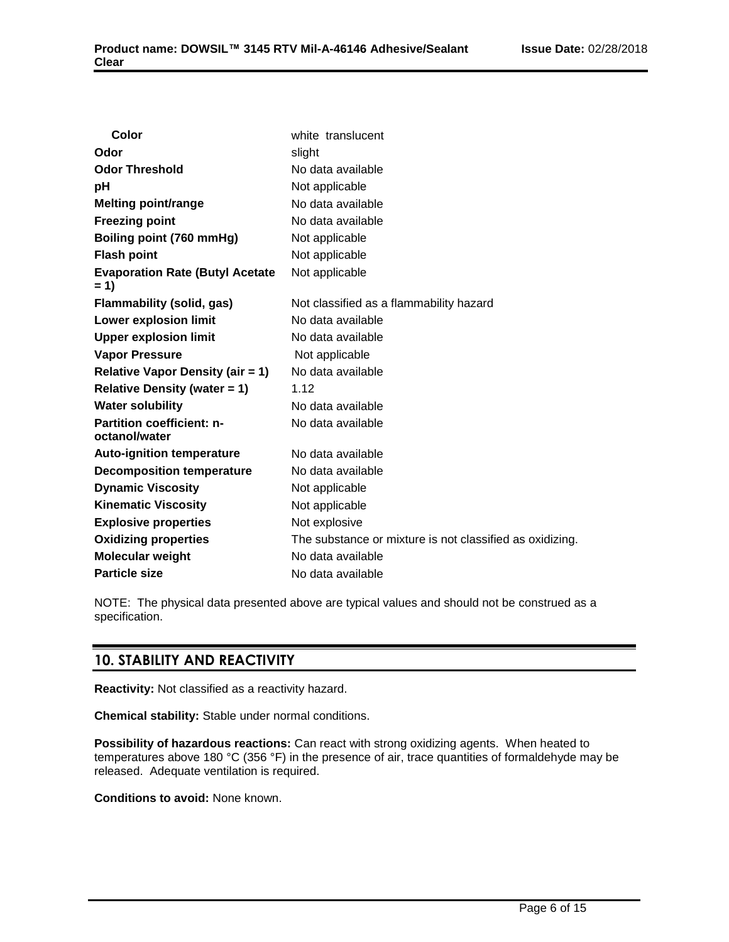| Color                                           | white translucent                                        |
|-------------------------------------------------|----------------------------------------------------------|
| Odor                                            | slight                                                   |
| <b>Odor Threshold</b>                           | No data available                                        |
| рH                                              | Not applicable                                           |
| <b>Melting point/range</b>                      | No data available                                        |
| <b>Freezing point</b>                           | No data available                                        |
| Boiling point (760 mmHg)                        | Not applicable                                           |
| <b>Flash point</b>                              | Not applicable                                           |
| <b>Evaporation Rate (Butyl Acetate</b><br>$= 1$ | Not applicable                                           |
| <b>Flammability (solid, gas)</b>                | Not classified as a flammability hazard                  |
| <b>Lower explosion limit</b>                    | No data available                                        |
| <b>Upper explosion limit</b>                    | No data available                                        |
| <b>Vapor Pressure</b>                           | Not applicable                                           |
| <b>Relative Vapor Density (air = 1)</b>         | No data available                                        |
| <b>Relative Density (water = 1)</b>             | 1.12                                                     |
| <b>Water solubility</b>                         | No data available                                        |
| Partition coefficient: n-<br>octanol/water      | No data available                                        |
| <b>Auto-ignition temperature</b>                | No data available                                        |
| <b>Decomposition temperature</b>                | No data available                                        |
| <b>Dynamic Viscosity</b>                        | Not applicable                                           |
| <b>Kinematic Viscosity</b>                      | Not applicable                                           |
| <b>Explosive properties</b>                     | Not explosive                                            |
| <b>Oxidizing properties</b>                     | The substance or mixture is not classified as oxidizing. |
| <b>Molecular weight</b>                         | No data available                                        |
| <b>Particle size</b>                            | No data available                                        |

NOTE: The physical data presented above are typical values and should not be construed as a specification.

## **10. STABILITY AND REACTIVITY**

**Reactivity:** Not classified as a reactivity hazard.

**Chemical stability:** Stable under normal conditions.

**Possibility of hazardous reactions:** Can react with strong oxidizing agents. When heated to temperatures above 180 °C (356 °F) in the presence of air, trace quantities of formaldehyde may be released. Adequate ventilation is required.

**Conditions to avoid:** None known.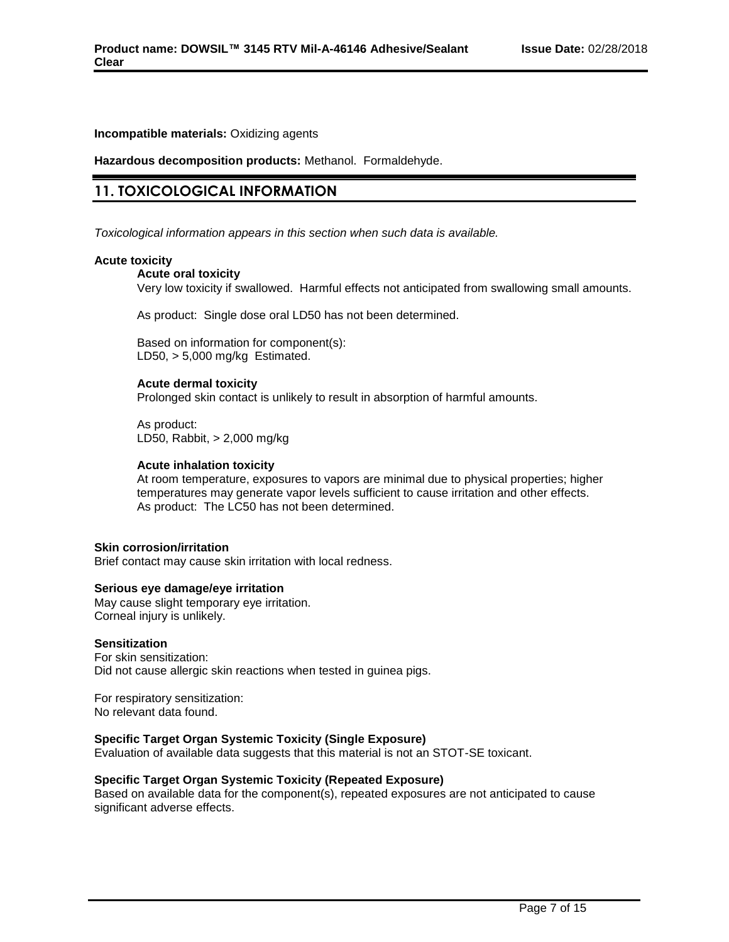## **Incompatible materials:** Oxidizing agents

**Hazardous decomposition products:** Methanol. Formaldehyde.

## **11. TOXICOLOGICAL INFORMATION**

*Toxicological information appears in this section when such data is available.*

## **Acute toxicity**

### **Acute oral toxicity**

Very low toxicity if swallowed. Harmful effects not anticipated from swallowing small amounts.

As product: Single dose oral LD50 has not been determined.

Based on information for component(s): LD50,  $> 5,000$  mg/kg Estimated.

## **Acute dermal toxicity**

Prolonged skin contact is unlikely to result in absorption of harmful amounts.

As product: LD50, Rabbit, > 2,000 mg/kg

## **Acute inhalation toxicity**

At room temperature, exposures to vapors are minimal due to physical properties; higher temperatures may generate vapor levels sufficient to cause irritation and other effects. As product: The LC50 has not been determined.

## **Skin corrosion/irritation**

Brief contact may cause skin irritation with local redness.

## **Serious eye damage/eye irritation**

May cause slight temporary eye irritation. Corneal injury is unlikely.

#### **Sensitization**

For skin sensitization: Did not cause allergic skin reactions when tested in guinea pigs.

For respiratory sensitization: No relevant data found.

## **Specific Target Organ Systemic Toxicity (Single Exposure)**

Evaluation of available data suggests that this material is not an STOT-SE toxicant.

## **Specific Target Organ Systemic Toxicity (Repeated Exposure)**

Based on available data for the component(s), repeated exposures are not anticipated to cause significant adverse effects.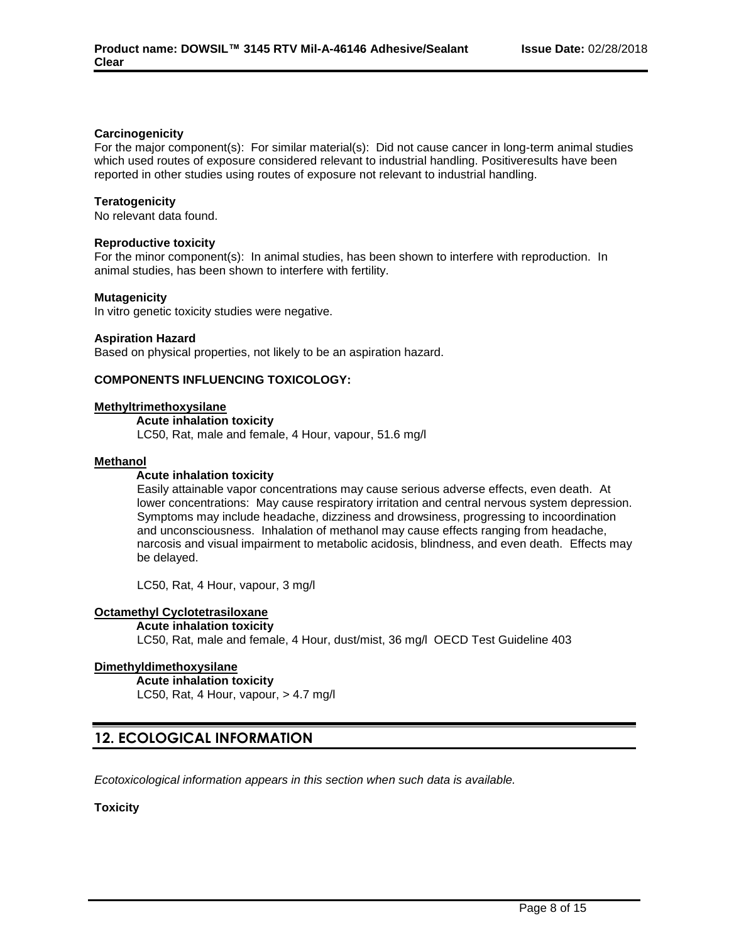## **Carcinogenicity**

For the major component(s): For similar material(s): Did not cause cancer in long-term animal studies which used routes of exposure considered relevant to industrial handling. Positiveresults have been reported in other studies using routes of exposure not relevant to industrial handling.

## **Teratogenicity**

No relevant data found.

#### **Reproductive toxicity**

For the minor component(s): In animal studies, has been shown to interfere with reproduction. In animal studies, has been shown to interfere with fertility.

#### **Mutagenicity**

In vitro genetic toxicity studies were negative.

#### **Aspiration Hazard**

Based on physical properties, not likely to be an aspiration hazard.

## **COMPONENTS INFLUENCING TOXICOLOGY:**

#### **Methyltrimethoxysilane**

**Acute inhalation toxicity**

LC50, Rat, male and female, 4 Hour, vapour, 51.6 mg/l

#### **Methanol**

## **Acute inhalation toxicity**

Easily attainable vapor concentrations may cause serious adverse effects, even death. At lower concentrations: May cause respiratory irritation and central nervous system depression. Symptoms may include headache, dizziness and drowsiness, progressing to incoordination and unconsciousness. Inhalation of methanol may cause effects ranging from headache, narcosis and visual impairment to metabolic acidosis, blindness, and even death. Effects may be delayed.

LC50, Rat, 4 Hour, vapour, 3 mg/l

## **Octamethyl Cyclotetrasiloxane**

#### **Acute inhalation toxicity**

LC50, Rat, male and female, 4 Hour, dust/mist, 36 mg/l OECD Test Guideline 403

## **Dimethyldimethoxysilane**

**Acute inhalation toxicity**

LC50, Rat, 4 Hour, vapour, > 4.7 mg/l

## **12. ECOLOGICAL INFORMATION**

*Ecotoxicological information appears in this section when such data is available.*

## **Toxicity**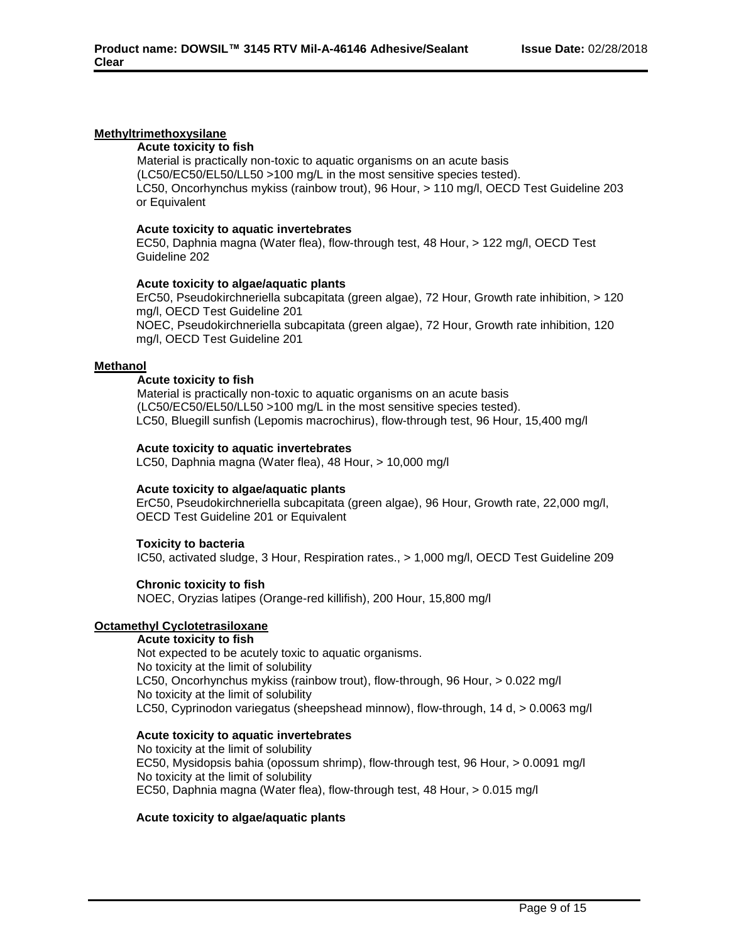## **Methyltrimethoxysilane**

### **Acute toxicity to fish**

Material is practically non-toxic to aquatic organisms on an acute basis (LC50/EC50/EL50/LL50 >100 mg/L in the most sensitive species tested). LC50, Oncorhynchus mykiss (rainbow trout), 96 Hour, > 110 mg/l, OECD Test Guideline 203 or Equivalent

### **Acute toxicity to aquatic invertebrates**

EC50, Daphnia magna (Water flea), flow-through test, 48 Hour, > 122 mg/l, OECD Test Guideline 202

#### **Acute toxicity to algae/aquatic plants**

ErC50, Pseudokirchneriella subcapitata (green algae), 72 Hour, Growth rate inhibition, > 120 mg/l, OECD Test Guideline 201 NOEC, Pseudokirchneriella subcapitata (green algae), 72 Hour, Growth rate inhibition, 120 mg/l, OECD Test Guideline 201

#### **Methanol**

## **Acute toxicity to fish**

Material is practically non-toxic to aquatic organisms on an acute basis (LC50/EC50/EL50/LL50 >100 mg/L in the most sensitive species tested). LC50, Bluegill sunfish (Lepomis macrochirus), flow-through test, 96 Hour, 15,400 mg/l

#### **Acute toxicity to aquatic invertebrates**

LC50, Daphnia magna (Water flea), 48 Hour, > 10,000 mg/l

## **Acute toxicity to algae/aquatic plants**

ErC50, Pseudokirchneriella subcapitata (green algae), 96 Hour, Growth rate, 22,000 mg/l, OECD Test Guideline 201 or Equivalent

## **Toxicity to bacteria**

IC50, activated sludge, 3 Hour, Respiration rates., > 1,000 mg/l, OECD Test Guideline 209

## **Chronic toxicity to fish**

NOEC, Oryzias latipes (Orange-red killifish), 200 Hour, 15,800 mg/l

## **Octamethyl Cyclotetrasiloxane**

## **Acute toxicity to fish**

Not expected to be acutely toxic to aquatic organisms. No toxicity at the limit of solubility LC50, Oncorhynchus mykiss (rainbow trout), flow-through, 96 Hour, > 0.022 mg/l No toxicity at the limit of solubility LC50, Cyprinodon variegatus (sheepshead minnow), flow-through, 14 d, > 0.0063 mg/l

## **Acute toxicity to aquatic invertebrates**

No toxicity at the limit of solubility EC50, Mysidopsis bahia (opossum shrimp), flow-through test, 96 Hour, > 0.0091 mg/l No toxicity at the limit of solubility EC50, Daphnia magna (Water flea), flow-through test, 48 Hour, > 0.015 mg/l

## **Acute toxicity to algae/aquatic plants**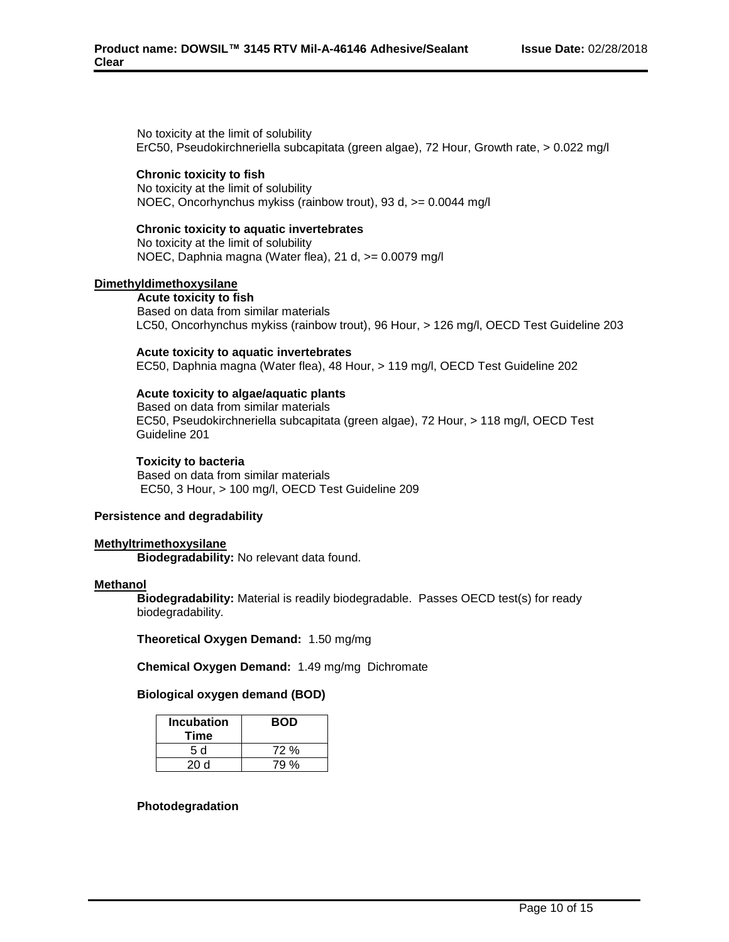No toxicity at the limit of solubility ErC50, Pseudokirchneriella subcapitata (green algae), 72 Hour, Growth rate, > 0.022 mg/l

#### **Chronic toxicity to fish**

No toxicity at the limit of solubility NOEC, Oncorhynchus mykiss (rainbow trout), 93 d, >= 0.0044 mg/l

#### **Chronic toxicity to aquatic invertebrates**

No toxicity at the limit of solubility NOEC, Daphnia magna (Water flea), 21 d, >= 0.0079 mg/l

## **Dimethyldimethoxysilane**

**Acute toxicity to fish** Based on data from similar materials LC50, Oncorhynchus mykiss (rainbow trout), 96 Hour, > 126 mg/l, OECD Test Guideline 203

#### **Acute toxicity to aquatic invertebrates**

EC50, Daphnia magna (Water flea), 48 Hour, > 119 mg/l, OECD Test Guideline 202

## **Acute toxicity to algae/aquatic plants**

Based on data from similar materials EC50, Pseudokirchneriella subcapitata (green algae), 72 Hour, > 118 mg/l, OECD Test Guideline 201

#### **Toxicity to bacteria**

Based on data from similar materials EC50, 3 Hour, > 100 mg/l, OECD Test Guideline 209

#### **Persistence and degradability**

### **Methyltrimethoxysilane**

**Biodegradability:** No relevant data found.

#### **Methanol**

**Biodegradability:** Material is readily biodegradable. Passes OECD test(s) for ready biodegradability.

**Theoretical Oxygen Demand:** 1.50 mg/mg

**Chemical Oxygen Demand:** 1.49 mg/mg Dichromate

#### **Biological oxygen demand (BOD)**

| <b>Incubation</b><br>Time | <b>BOD</b> |
|---------------------------|------------|
| 5 d                       | 72 %       |
| 20d                       | 79 %       |

#### **Photodegradation**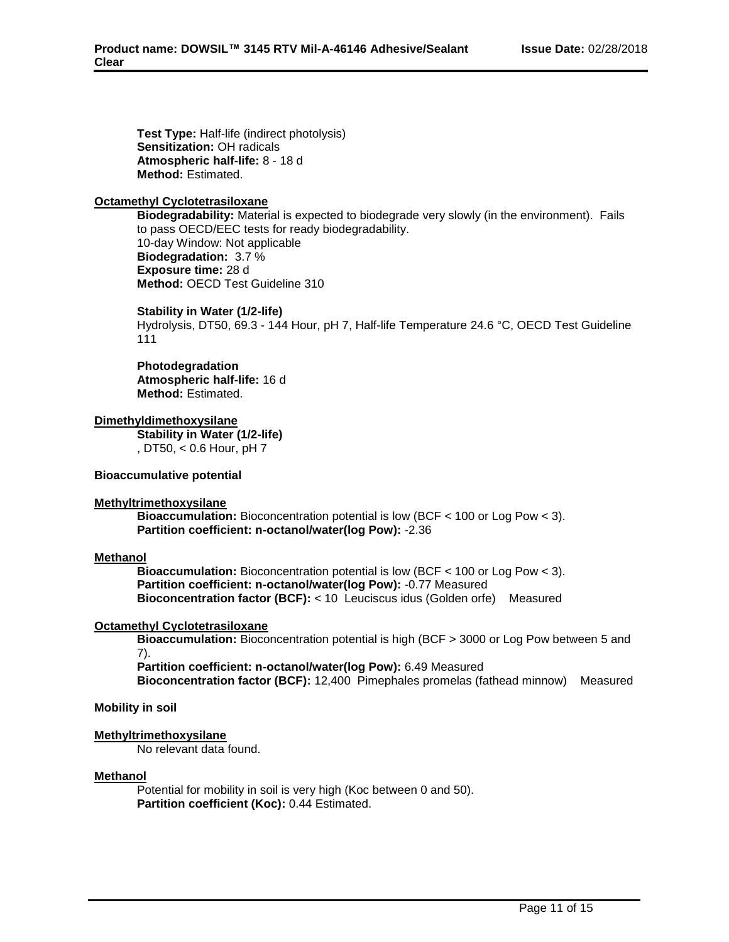**Test Type:** Half-life (indirect photolysis) **Sensitization:** OH radicals **Atmospheric half-life:** 8 - 18 d **Method:** Estimated.

## **Octamethyl Cyclotetrasiloxane**

**Biodegradability:** Material is expected to biodegrade very slowly (in the environment). Fails to pass OECD/EEC tests for ready biodegradability. 10-day Window: Not applicable **Biodegradation:** 3.7 % **Exposure time:** 28 d **Method:** OECD Test Guideline 310

## **Stability in Water (1/2-life)**

Hydrolysis, DT50, 69.3 - 144 Hour, pH 7, Half-life Temperature 24.6 °C, OECD Test Guideline 111

## **Photodegradation**

**Atmospheric half-life:** 16 d **Method:** Estimated.

## **Dimethyldimethoxysilane**

**Stability in Water (1/2-life)** , DT50, < 0.6 Hour, pH 7

## **Bioaccumulative potential**

## **Methyltrimethoxysilane**

**Bioaccumulation:** Bioconcentration potential is low (BCF < 100 or Log Pow < 3). **Partition coefficient: n-octanol/water(log Pow):** -2.36

## **Methanol**

**Bioaccumulation:** Bioconcentration potential is low (BCF < 100 or Log Pow < 3). **Partition coefficient: n-octanol/water(log Pow):** -0.77 Measured **Bioconcentration factor (BCF):** < 10 Leuciscus idus (Golden orfe) Measured

## **Octamethyl Cyclotetrasiloxane**

**Bioaccumulation:** Bioconcentration potential is high (BCF > 3000 or Log Pow between 5 and 7).

**Partition coefficient: n-octanol/water(log Pow):** 6.49 Measured **Bioconcentration factor (BCF):** 12,400 Pimephales promelas (fathead minnow) Measured

## **Mobility in soil**

## **Methyltrimethoxysilane**

No relevant data found.

## **Methanol**

Potential for mobility in soil is very high (Koc between 0 and 50). **Partition coefficient (Koc):** 0.44 Estimated.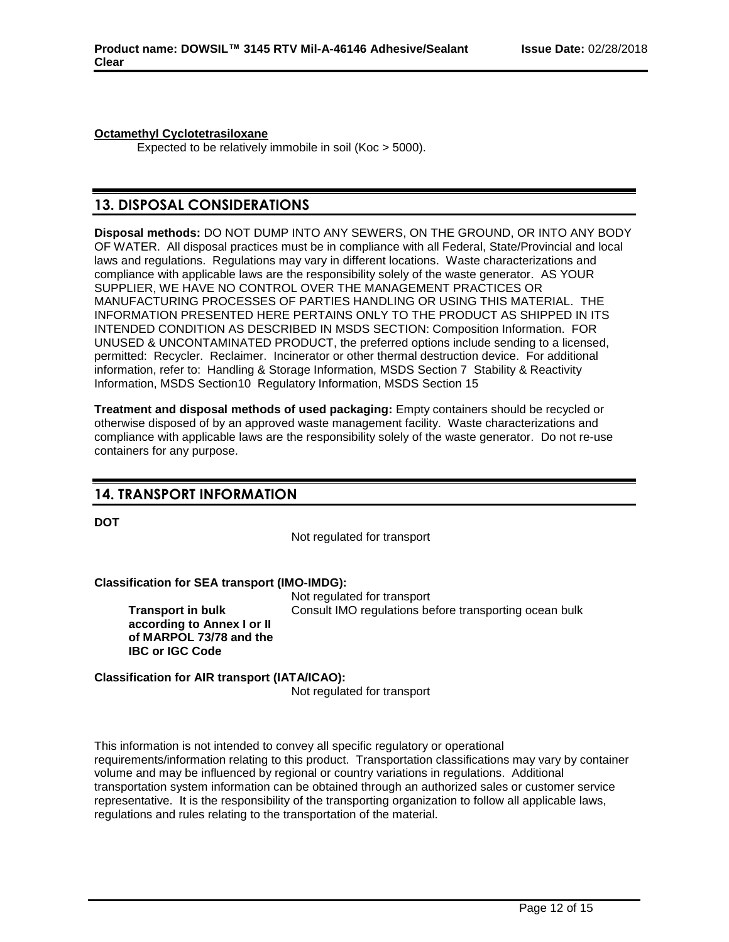## **Octamethyl Cyclotetrasiloxane**

Expected to be relatively immobile in soil (Koc > 5000).

## **13. DISPOSAL CONSIDERATIONS**

**Disposal methods:** DO NOT DUMP INTO ANY SEWERS, ON THE GROUND, OR INTO ANY BODY OF WATER. All disposal practices must be in compliance with all Federal, State/Provincial and local laws and regulations. Regulations may vary in different locations. Waste characterizations and compliance with applicable laws are the responsibility solely of the waste generator. AS YOUR SUPPLIER, WE HAVE NO CONTROL OVER THE MANAGEMENT PRACTICES OR MANUFACTURING PROCESSES OF PARTIES HANDLING OR USING THIS MATERIAL. THE INFORMATION PRESENTED HERE PERTAINS ONLY TO THE PRODUCT AS SHIPPED IN ITS INTENDED CONDITION AS DESCRIBED IN MSDS SECTION: Composition Information. FOR UNUSED & UNCONTAMINATED PRODUCT, the preferred options include sending to a licensed, permitted: Recycler. Reclaimer. Incinerator or other thermal destruction device. For additional information, refer to: Handling & Storage Information, MSDS Section 7 Stability & Reactivity Information, MSDS Section10 Regulatory Information, MSDS Section 15

**Treatment and disposal methods of used packaging:** Empty containers should be recycled or otherwise disposed of by an approved waste management facility. Waste characterizations and compliance with applicable laws are the responsibility solely of the waste generator. Do not re-use containers for any purpose.

## **14. TRANSPORT INFORMATION**

**DOT**

Not regulated for transport

## **Classification for SEA transport (IMO-IMDG):**

**Transport in bulk according to Annex I or II of MARPOL 73/78 and the IBC or IGC Code**

Not regulated for transport Consult IMO regulations before transporting ocean bulk

**Classification for AIR transport (IATA/ICAO):** Not regulated for transport

This information is not intended to convey all specific regulatory or operational requirements/information relating to this product. Transportation classifications may vary by container volume and may be influenced by regional or country variations in regulations. Additional transportation system information can be obtained through an authorized sales or customer service representative. It is the responsibility of the transporting organization to follow all applicable laws, regulations and rules relating to the transportation of the material.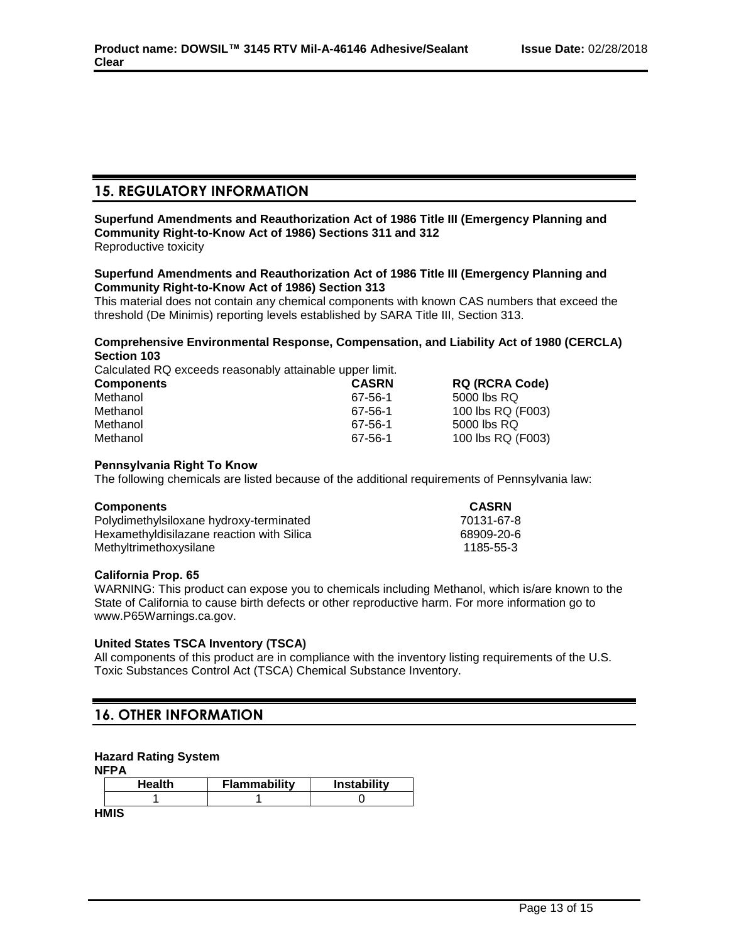# **15. REGULATORY INFORMATION**

#### **Superfund Amendments and Reauthorization Act of 1986 Title III (Emergency Planning and Community Right-to-Know Act of 1986) Sections 311 and 312** Reproductive toxicity

## **Superfund Amendments and Reauthorization Act of 1986 Title III (Emergency Planning and Community Right-to-Know Act of 1986) Section 313**

This material does not contain any chemical components with known CAS numbers that exceed the threshold (De Minimis) reporting levels established by SARA Title III, Section 313.

## **Comprehensive Environmental Response, Compensation, and Liability Act of 1980 (CERCLA) Section 103**

Calculated RQ exceeds reasonably attainable upper limit.

| <b>Components</b> | <b>CASRN</b> | <b>RQ (RCRA Code)</b> |
|-------------------|--------------|-----------------------|
| Methanol          | 67-56-1      | 5000 lbs RQ           |
| Methanol          | 67-56-1      | 100 lbs RQ (F003)     |
| Methanol          | 67-56-1      | 5000 lbs RQ           |
| Methanol          | 67-56-1      | 100 lbs RQ (F003)     |

## **Pennsylvania Right To Know**

The following chemicals are listed because of the additional requirements of Pennsylvania law:

## **Components CASRN**

| .                                         |            |
|-------------------------------------------|------------|
| Polydimethylsiloxane hydroxy-terminated   | 70131-67-8 |
| Hexamethyldisilazane reaction with Silica | 68909-20-6 |
| Methyltrimethoxysilane                    | 1185-55-3  |
|                                           |            |

## **California Prop. 65**

WARNING: This product can expose you to chemicals including Methanol, which is/are known to the State of California to cause birth defects or other reproductive harm. For more information go to www.P65Warnings.ca.gov.

## **United States TSCA Inventory (TSCA)**

All components of this product are in compliance with the inventory listing requirements of the U.S. Toxic Substances Control Act (TSCA) Chemical Substance Inventory.

## **16. OTHER INFORMATION**

## **Hazard Rating System**

**NFPA**

| Health | <b>Flammability</b> | <b>Instability</b> |
|--------|---------------------|--------------------|
|        |                     |                    |
| .      |                     |                    |

**HMIS**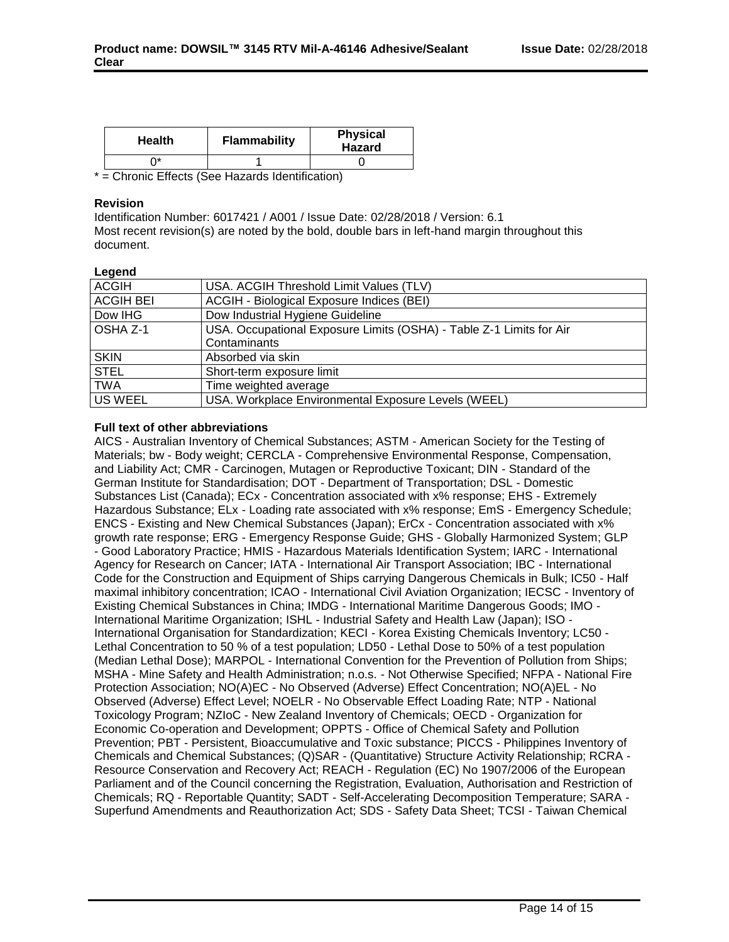| <b>Health</b> | <b>Flammability</b> | <b>Physical</b><br><b>Hazard</b> |
|---------------|---------------------|----------------------------------|
| ነ*            |                     |                                  |

\* = Chronic Effects (See Hazards Identification)

## **Revision**

Identification Number: 6017421 / A001 / Issue Date: 02/28/2018 / Version: 6.1 Most recent revision(s) are noted by the bold, double bars in left-hand margin throughout this document.

## **Legend**

| ------           |                                                                     |
|------------------|---------------------------------------------------------------------|
| <b>ACGIH</b>     | USA. ACGIH Threshold Limit Values (TLV)                             |
| <b>ACGIH BEI</b> | ACGIH - Biological Exposure Indices (BEI)                           |
| Dow IHG          | Dow Industrial Hygiene Guideline                                    |
| OSHA Z-1         | USA. Occupational Exposure Limits (OSHA) - Table Z-1 Limits for Air |
|                  | Contaminants                                                        |
| <b>SKIN</b>      | Absorbed via skin                                                   |
| <b>STEL</b>      | Short-term exposure limit                                           |
| <b>TWA</b>       | Time weighted average                                               |
| <b>US WEEL</b>   | USA. Workplace Environmental Exposure Levels (WEEL)                 |
|                  |                                                                     |

## **Full text of other abbreviations**

AICS - Australian Inventory of Chemical Substances; ASTM - American Society for the Testing of Materials; bw - Body weight; CERCLA - Comprehensive Environmental Response, Compensation, and Liability Act; CMR - Carcinogen, Mutagen or Reproductive Toxicant; DIN - Standard of the German Institute for Standardisation; DOT - Department of Transportation; DSL - Domestic Substances List (Canada); ECx - Concentration associated with x% response; EHS - Extremely Hazardous Substance; ELx - Loading rate associated with x% response; EmS - Emergency Schedule; ENCS - Existing and New Chemical Substances (Japan); ErCx - Concentration associated with x% growth rate response; ERG - Emergency Response Guide; GHS - Globally Harmonized System; GLP - Good Laboratory Practice; HMIS - Hazardous Materials Identification System; IARC - International Agency for Research on Cancer; IATA - International Air Transport Association; IBC - International Code for the Construction and Equipment of Ships carrying Dangerous Chemicals in Bulk; IC50 - Half maximal inhibitory concentration; ICAO - International Civil Aviation Organization; IECSC - Inventory of Existing Chemical Substances in China; IMDG - International Maritime Dangerous Goods; IMO - International Maritime Organization; ISHL - Industrial Safety and Health Law (Japan); ISO - International Organisation for Standardization; KECI - Korea Existing Chemicals Inventory; LC50 - Lethal Concentration to 50 % of a test population; LD50 - Lethal Dose to 50% of a test population (Median Lethal Dose); MARPOL - International Convention for the Prevention of Pollution from Ships; MSHA - Mine Safety and Health Administration; n.o.s. - Not Otherwise Specified; NFPA - National Fire Protection Association; NO(A)EC - No Observed (Adverse) Effect Concentration; NO(A)EL - No Observed (Adverse) Effect Level; NOELR - No Observable Effect Loading Rate; NTP - National Toxicology Program; NZIoC - New Zealand Inventory of Chemicals; OECD - Organization for Economic Co-operation and Development; OPPTS - Office of Chemical Safety and Pollution Prevention; PBT - Persistent, Bioaccumulative and Toxic substance; PICCS - Philippines Inventory of Chemicals and Chemical Substances; (Q)SAR - (Quantitative) Structure Activity Relationship; RCRA - Resource Conservation and Recovery Act; REACH - Regulation (EC) No 1907/2006 of the European Parliament and of the Council concerning the Registration, Evaluation, Authorisation and Restriction of Chemicals; RQ - Reportable Quantity; SADT - Self-Accelerating Decomposition Temperature; SARA - Superfund Amendments and Reauthorization Act; SDS - Safety Data Sheet; TCSI - Taiwan Chemical